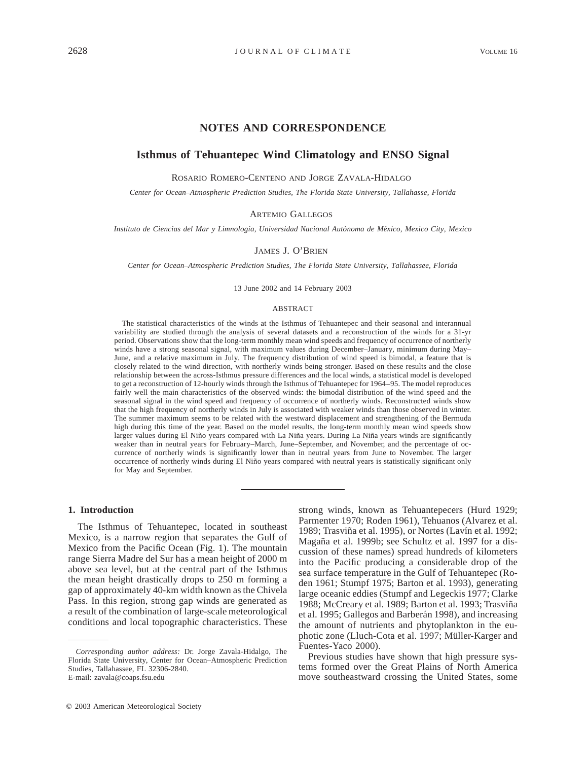# **NOTES AND CORRESPONDENCE**

## **Isthmus of Tehuantepec Wind Climatology and ENSO Signal**

ROSARIO ROMERO-CENTENO AND JORGE ZAVALA-HIDALGO

*Center for Ocean–Atmospheric Prediction Studies, The Florida State University, Tallahasse, Florida*

ARTEMIO GALLEGOS

*Instituto de Ciencias del Mar y Limnologı´a, Universidad Nacional Auto´noma de Me´xico, Mexico City, Mexico*

#### JAMES J. O'BRIEN

*Center for Ocean–Atmospheric Prediction Studies, The Florida State University, Tallahassee, Florida*

13 June 2002 and 14 February 2003

#### ABSTRACT

The statistical characteristics of the winds at the Isthmus of Tehuantepec and their seasonal and interannual variability are studied through the analysis of several datasets and a reconstruction of the winds for a 31-yr period. Observations show that the long-term monthly mean wind speeds and frequency of occurrence of northerly winds have a strong seasonal signal, with maximum values during December–January, minimum during May– June, and a relative maximum in July. The frequency distribution of wind speed is bimodal, a feature that is closely related to the wind direction, with northerly winds being stronger. Based on these results and the close relationship between the across-Isthmus pressure differences and the local winds, a statistical model is developed to get a reconstruction of 12-hourly winds through the Isthmus of Tehuantepec for 1964–95. The model reproduces fairly well the main characteristics of the observed winds: the bimodal distribution of the wind speed and the seasonal signal in the wind speed and frequency of occurrence of northerly winds. Reconstructed winds show that the high frequency of northerly winds in July is associated with weaker winds than those observed in winter. The summer maximum seems to be related with the westward displacement and strengthening of the Bermuda high during this time of the year. Based on the model results, the long-term monthly mean wind speeds show larger values during El Niño years compared with La Niña years. During La Niña years winds are significantly weaker than in neutral years for February–March, June–September, and November, and the percentage of occurrence of northerly winds is significantly lower than in neutral years from June to November. The larger occurrence of northerly winds during El Niño years compared with neutral years is statistically significant only for May and September.

### **1. Introduction**

The Isthmus of Tehuantepec, located in southeast Mexico, is a narrow region that separates the Gulf of Mexico from the Pacific Ocean (Fig. 1). The mountain range Sierra Madre del Sur has a mean height of 2000 m above sea level, but at the central part of the Isthmus the mean height drastically drops to 250 m forming a gap of approximately 40-km width known as the Chivela Pass. In this region, strong gap winds are generated as a result of the combination of large-scale meteorological conditions and local topographic characteristics. These

strong winds, known as Tehuantepecers (Hurd 1929; Parmenter 1970; Roden 1961), Tehuanos (Alvarez et al. 1989; Trasviña et al. 1995), or Nortes (Lavín et al. 1992; Magaña et al. 1999b; see Schultz et al. 1997 for a discussion of these names) spread hundreds of kilometers into the Pacific producing a considerable drop of the sea surface temperature in the Gulf of Tehuantepec (Roden 1961; Stumpf 1975; Barton et al. 1993), generating large oceanic eddies (Stumpf and Legeckis 1977; Clarke 1988; McCreary et al. 1989; Barton et al. 1993; Trasviña et al. 1995; Gallegos and Barberán 1998), and increasing the amount of nutrients and phytoplankton in the euphotic zone (Lluch-Cota et al. 1997; Müller-Karger and Fuentes-Yaco 2000).

Previous studies have shown that high pressure systems formed over the Great Plains of North America move southeastward crossing the United States, some

*Corresponding author address:* Dr. Jorge Zavala-Hidalgo, The Florida State University, Center for Ocean–Atmospheric Prediction Studies, Tallahassee, FL 32306-2840. E-mail: zavala@coaps.fsu.edu

 $© 2003$  American Meteorological Society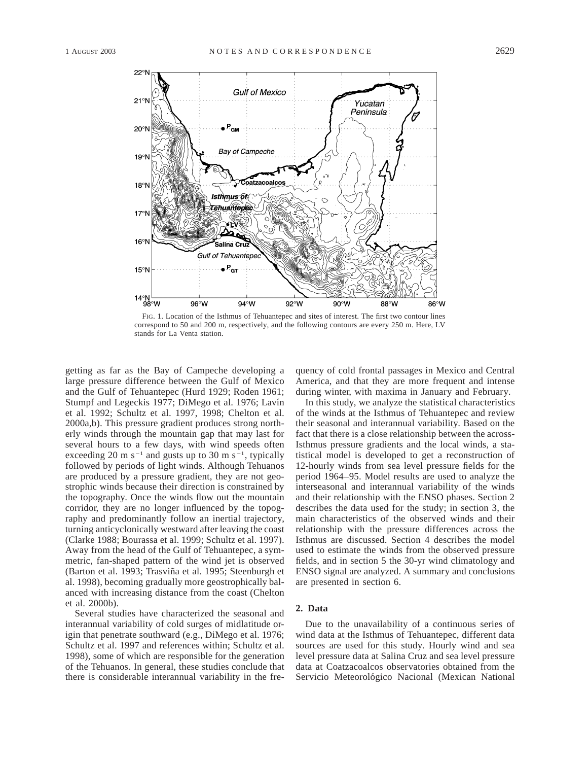

FIG. 1. Location of the Isthmus of Tehuantepec and sites of interest. The first two contour lines correspond to 50 and 200 m, respectively, and the following contours are every 250 m. Here, LV stands for La Venta station.

getting as far as the Bay of Campeche developing a large pressure difference between the Gulf of Mexico and the Gulf of Tehuantepec (Hurd 1929; Roden 1961; Stumpf and Legeckis 1977; DiMego et al. 1976; Lavín et al. 1992; Schultz et al. 1997, 1998; Chelton et al. 2000a,b). This pressure gradient produces strong northerly winds through the mountain gap that may last for several hours to a few days, with wind speeds often exceeding 20 m s<sup>-1</sup> and gusts up to 30 m s<sup>-1</sup>, typically followed by periods of light winds. Although Tehuanos are produced by a pressure gradient, they are not geostrophic winds because their direction is constrained by the topography. Once the winds flow out the mountain corridor, they are no longer influenced by the topography and predominantly follow an inertial trajectory, turning anticyclonically westward after leaving the coast (Clarke 1988; Bourassa et al. 1999; Schultz et al. 1997). Away from the head of the Gulf of Tehuantepec, a symmetric, fan-shaped pattern of the wind jet is observed (Barton et al. 1993; Trasviña et al. 1995; Steenburgh et al. 1998), becoming gradually more geostrophically balanced with increasing distance from the coast (Chelton et al. 2000b).

Several studies have characterized the seasonal and interannual variability of cold surges of midlatitude origin that penetrate southward (e.g., DiMego et al. 1976; Schultz et al. 1997 and references within; Schultz et al. 1998), some of which are responsible for the generation of the Tehuanos. In general, these studies conclude that there is considerable interannual variability in the frequency of cold frontal passages in Mexico and Central America, and that they are more frequent and intense during winter, with maxima in January and February.

In this study, we analyze the statistical characteristics of the winds at the Isthmus of Tehuantepec and review their seasonal and interannual variability. Based on the fact that there is a close relationship between the across-Isthmus pressure gradients and the local winds, a statistical model is developed to get a reconstruction of 12-hourly winds from sea level pressure fields for the period 1964–95. Model results are used to analyze the interseasonal and interannual variability of the winds and their relationship with the ENSO phases. Section 2 describes the data used for the study; in section 3, the main characteristics of the observed winds and their relationship with the pressure differences across the Isthmus are discussed. Section 4 describes the model used to estimate the winds from the observed pressure fields, and in section 5 the 30-yr wind climatology and ENSO signal are analyzed. A summary and conclusions are presented in section 6.

# **2. Data**

Due to the unavailability of a continuous series of wind data at the Isthmus of Tehuantepec, different data sources are used for this study. Hourly wind and sea level pressure data at Salina Cruz and sea level pressure data at Coatzacoalcos observatories obtained from the Servicio Meteorológico Nacional (Mexican National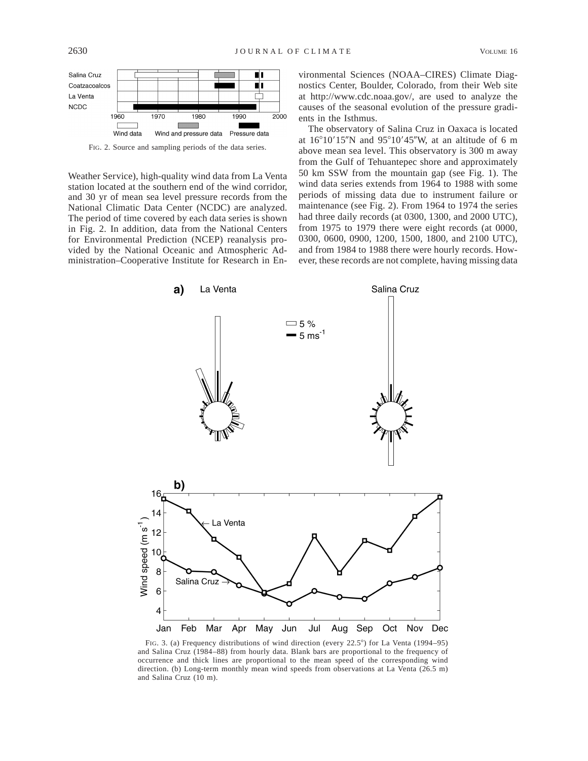

FIG. 2. Source and sampling periods of the data series.

Weather Service), high-quality wind data from La Venta station located at the southern end of the wind corridor, and 30 yr of mean sea level pressure records from the National Climatic Data Center (NCDC) are analyzed. The period of time covered by each data series is shown in Fig. 2. In addition, data from the National Centers for Environmental Prediction (NCEP) reanalysis provided by the National Oceanic and Atmospheric Administration–Cooperative Institute for Research in En-

vironmental Sciences (NOAA–CIRES) Climate Diagnostics Center, Boulder, Colorado, from their Web site at http://www.cdc.noaa.gov/, are used to analyze the causes of the seasonal evolution of the pressure gradients in the Isthmus.

The observatory of Salina Cruz in Oaxaca is located at  $16^{\circ}10'15''N$  and  $95^{\circ}10'45''W$ , at an altitude of 6 m above mean sea level. This observatory is 300 m away from the Gulf of Tehuantepec shore and approximately 50 km SSW from the mountain gap (see Fig. 1). The wind data series extends from 1964 to 1988 with some periods of missing data due to instrument failure or maintenance (see Fig. 2). From 1964 to 1974 the series had three daily records (at 0300, 1300, and 2000 UTC), from 1975 to 1979 there were eight records (at 0000, 0300, 0600, 0900, 1200, 1500, 1800, and 2100 UTC), and from 1984 to 1988 there were hourly records. However, these records are not complete, having missing data



FIG. 3. (a) Frequency distributions of wind direction (every  $22.5^{\circ}$ ) for La Venta (1994–95) and Salina Cruz (1984–88) from hourly data. Blank bars are proportional to the frequency of occurrence and thick lines are proportional to the mean speed of the corresponding wind direction. (b) Long-term monthly mean wind speeds from observations at La Venta (26.5 m) and Salina Cruz (10 m).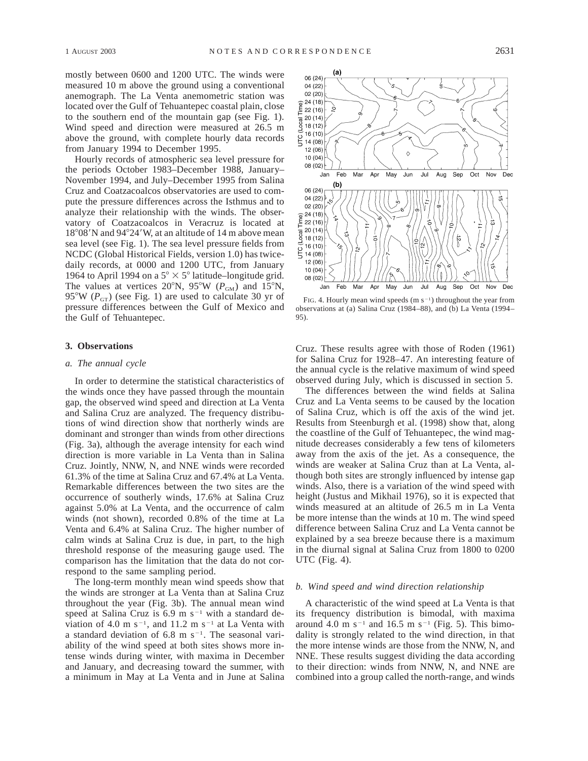mostly between 0600 and 1200 UTC. The winds were measured 10 m above the ground using a conventional anemograph. The La Venta anemometric station was located over the Gulf of Tehuantepec coastal plain, close to the southern end of the mountain gap (see Fig. 1). Wind speed and direction were measured at 26.5 m above the ground, with complete hourly data records from January 1994 to December 1995.

Hourly records of atmospheric sea level pressure for the periods October 1983–December 1988, January– November 1994, and July–December 1995 from Salina Cruz and Coatzacoalcos observatories are used to compute the pressure differences across the Isthmus and to analyze their relationship with the winds. The observatory of Coatzacoalcos in Veracruz is located at  $18^{\circ}08'$ N and  $94^{\circ}24'$ W, at an altitude of 14 m above mean sea level (see Fig. 1). The sea level pressure fields from NCDC (Global Historical Fields, version 1.0) has twicedaily records, at 0000 and 1200 UTC, from January 1964 to April 1994 on a  $5^{\circ} \times 5^{\circ}$  latitude–longitude grid. The values at vertices 20°N, 95°W ( $P_{GM}$ ) and 15°N, 95°W ( $P_{GT}$ ) (see Fig. 1) are used to calculate 30 yr of pressure differences between the Gulf of Mexico and the Gulf of Tehuantepec.

### **3. Observations**

### *a. The annual cycle*

In order to determine the statistical characteristics of the winds once they have passed through the mountain gap, the observed wind speed and direction at La Venta and Salina Cruz are analyzed. The frequency distributions of wind direction show that northerly winds are dominant and stronger than winds from other directions (Fig. 3a), although the average intensity for each wind direction is more variable in La Venta than in Salina Cruz. Jointly, NNW, N, and NNE winds were recorded 61.3% of the time at Salina Cruz and 67.4% at La Venta. Remarkable differences between the two sites are the occurrence of southerly winds, 17.6% at Salina Cruz against 5.0% at La Venta, and the occurrence of calm winds (not shown), recorded 0.8% of the time at La Venta and 6.4% at Salina Cruz. The higher number of calm winds at Salina Cruz is due, in part, to the high threshold response of the measuring gauge used. The comparison has the limitation that the data do not correspond to the same sampling period.

The long-term monthly mean wind speeds show that the winds are stronger at La Venta than at Salina Cruz throughout the year (Fig. 3b). The annual mean wind speed at Salina Cruz is  $6.9 \text{ m s}^{-1}$  with a standard deviation of 4.0 m s<sup>-1</sup>, and 11.2 m s<sup>-1</sup> at La Venta with a standard deviation of  $6.8 \text{ m s}^{-1}$ . The seasonal variability of the wind speed at both sites shows more intense winds during winter, with maxima in December and January, and decreasing toward the summer, with a minimum in May at La Venta and in June at Salina



FIG. 4. Hourly mean wind speeds  $(m s<sup>-1</sup>)$  throughout the year from observations at (a) Salina Cruz (1984–88), and (b) La Venta (1994– 95).

Cruz. These results agree with those of Roden (1961) for Salina Cruz for 1928–47. An interesting feature of the annual cycle is the relative maximum of wind speed observed during July, which is discussed in section 5.

The differences between the wind fields at Salina Cruz and La Venta seems to be caused by the location of Salina Cruz, which is off the axis of the wind jet. Results from Steenburgh et al. (1998) show that, along the coastline of the Gulf of Tehuantepec, the wind magnitude decreases considerably a few tens of kilometers away from the axis of the jet. As a consequence, the winds are weaker at Salina Cruz than at La Venta, although both sites are strongly influenced by intense gap winds. Also, there is a variation of the wind speed with height (Justus and Mikhail 1976), so it is expected that winds measured at an altitude of 26.5 m in La Venta be more intense than the winds at 10 m. The wind speed difference between Salina Cruz and La Venta cannot be explained by a sea breeze because there is a maximum in the diurnal signal at Salina Cruz from 1800 to 0200 UTC (Fig. 4).

### *b. Wind speed and wind direction relationship*

A characteristic of the wind speed at La Venta is that its frequency distribution is bimodal, with maxima around 4.0 m s<sup>-1</sup> and 16.5 m s<sup>-1</sup> (Fig. 5). This bimodality is strongly related to the wind direction, in that the more intense winds are those from the NNW, N, and NNE. These results suggest dividing the data according to their direction: winds from NNW, N, and NNE are combined into a group called the north-range, and winds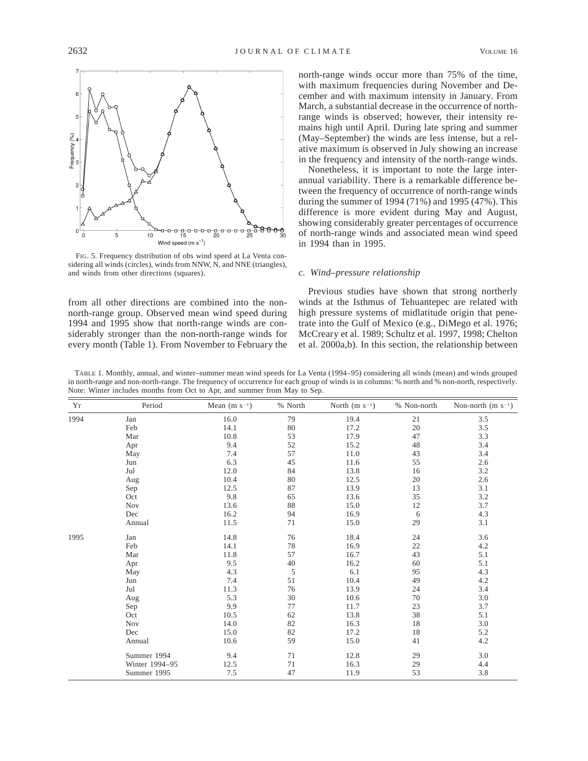

FIG. 5. Frequency distribution of obs wind speed at La Venta considering all winds (circles), winds from NNW, N, and NNE (triangles), and winds from other directions (squares).

from all other directions are combined into the nonnorth-range group. Observed mean wind speed during 1994 and 1995 show that north-range winds are considerably stronger than the non-north-range winds for every month (Table 1). From November to February the

north-range winds occur more than 75% of the time, with maximum frequencies during November and December and with maximum intensity in January. From March, a substantial decrease in the occurrence of northrange winds is observed; however, their intensity remains high until April. During late spring and summer (May–September) the winds are less intense, but a relative maximum is observed in July showing an increase in the frequency and intensity of the north-range winds.

Nonetheless, it is important to note the large interannual variability. There is a remarkable difference between the frequency of occurrence of north-range winds during the summer of 1994 (71%) and 1995 (47%). This difference is more evident during May and August, showing considerably greater percentages of occurrence of north-range winds and associated mean wind speed in 1994 than in 1995.

### *c. Wind–pressure relationship*

Previous studies have shown that strong northerly winds at the Isthmus of Tehuantepec are related with high pressure systems of midlatitude origin that penetrate into the Gulf of Mexico (e.g., DiMego et al. 1976; McCreary et al. 1989; Schultz et al. 1997, 1998; Chelton et al. 2000a,b). In this section, the relationship between

TABLE 1. Monthly, annual, and winter–summer mean wind speeds for La Venta (1994–95) considering all winds (mean) and winds grouped in north-range and non-north-range. The frequency of occurrence for each group of winds is in columns: % north and % non-north, respectively. Note: Winter includes months from Oct to Apr, and summer from May to Sep.

| Yr   | Period         | Mean $(m s^{-1})$ | % North | North $(m s^{-1})$ | % Non-north | Non-north $(m s^{-1})$ |
|------|----------------|-------------------|---------|--------------------|-------------|------------------------|
| 1994 | Jan            | 16.0              | 79      | 19.4               | 21          | $3.5$                  |
|      | Feb            | 14.1              | 80      | 17.2               | 20          | 3.5                    |
|      | Mar            | 10.8              | 53      | 17.9               | 47          | 3.3                    |
|      | Apr            | 9.4               | 52      | 15.2               | 48          | 3.4                    |
|      | May            | 7.4               | 57      | 11.0               | 43          | 3.4                    |
|      | Jun            | 6.3               | 45      | 11.6               | 55          | 2.6                    |
|      | Jul            | 12.0              | 84      | 13.8               | 16          | 3.2                    |
|      | Aug            | 10.4              | 80      | 12.5               | 20          | 2.6                    |
|      | Sep            | 12.5              | 87      | 13.9               | 13          | 3.1                    |
|      | Oct            | 9.8               | 65      | 13.6               | 35          | 3.2                    |
|      | <b>Nov</b>     | 13.6              | 88      | 15.0               | 12          | 3.7                    |
|      | Dec            | 16.2              | 94      | 16.9               | 6           | 4.3                    |
|      | Annual         | 11.5              | 71      | 15.0               | 29          | 3.1                    |
| 1995 | Jan            | 14.8              | 76      | 18.4               | 24          | 3.6                    |
|      | Feb            | 14.1              | 78      | 16.9               | $22\,$      | 4.2                    |
|      | Mar            | 11.8              | 57      | 16.7               | 43          | 5.1                    |
|      | Apr            | 9.5               | 40      | 16.2               | 60          | 5.1                    |
|      | May            | 4.3               | 5       | 6.1                | 95          | 4.3                    |
|      | Jun            | 7.4               | 51      | 10.4               | 49          | 4.2                    |
|      | Jul            | 11.3              | 76      | 13.9               | 24          | 3.4                    |
|      | Aug            | 5.3               | 30      | 10.6               | 70          | 3.0                    |
|      | Sep            | 9.9               | 77      | 11.7               | 23          | 3.7                    |
|      | Oct            | 10.5              | 62      | 13.8               | 38          | 5.1                    |
|      | <b>Nov</b>     | 14.0              | 82      | 16.3               | 18          | 3.0                    |
|      | Dec            | 15.0              | 82      | 17.2               | 18          | 5.2                    |
|      | Annual         | 10.6              | 59      | 15.0               | 41          | 4.2                    |
|      | Summer 1994    | 9.4               | 71      | 12.8               | 29          | 3.0                    |
|      | Winter 1994-95 | 12.5              | 71      | 16.3               | 29          | 4.4                    |
|      | Summer 1995    | 7.5               | 47      | 11.9               | 53          | 3.8                    |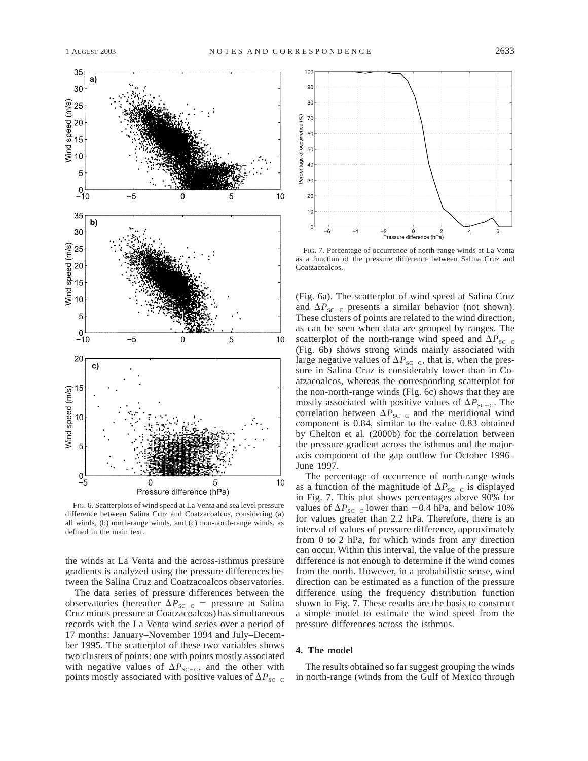

FIG. 6. Scatterplots of wind speed at La Venta and sea level pressure difference between Salina Cruz and Coatzacoalcos, considering (a) all winds, (b) north-range winds, and (c) non-north-range winds, as defined in the main text.

the winds at La Venta and the across-isthmus pressure gradients is analyzed using the pressure differences between the Salina Cruz and Coatzacoalcos observatories.

The data series of pressure differences between the observatories (hereafter  $\Delta P_{SC-C}$  = pressure at Salina Cruz minus pressure at Coatzacoalcos) has simultaneous records with the La Venta wind series over a period of 17 months: January–November 1994 and July–December 1995. The scatterplot of these two variables shows two clusters of points: one with points mostly associated with negative values of  $\Delta P_{\text{SC}-\text{C}}$ , and the other with points mostly associated with positive values of  $\Delta P_{\text{SC-C}}$ 



FIG. 7. Percentage of occurrence of north-range winds at La Venta as a function of the pressure difference between Salina Cruz and Coatzacoalcos.

(Fig. 6a). The scatterplot of wind speed at Salina Cruz and  $\Delta P_{\text{SC-C}}$  presents a similar behavior (not shown). These clusters of points are related to the wind direction, as can be seen when data are grouped by ranges. The scatterplot of the north-range wind speed and  $\Delta P_{\text{SC-CC}}$ (Fig. 6b) shows strong winds mainly associated with large negative values of  $\Delta P_{\text{SC-C}}$ , that is, when the pressure in Salina Cruz is considerably lower than in Coatzacoalcos, whereas the corresponding scatterplot for the non-north-range winds (Fig. 6c) shows that they are mostly associated with positive values of  $\Delta P_{\text{SC-CC}}$ . The correlation between  $\Delta P_{\text{SC-C}}$  and the meridional wind component is 0.84, similar to the value 0.83 obtained by Chelton et al. (2000b) for the correlation between the pressure gradient across the isthmus and the majoraxis component of the gap outflow for October 1996– June 1997.

The percentage of occurrence of north-range winds as a function of the magnitude of  $\Delta P_{\text{SC-C}}$  is displayed in Fig. 7. This plot shows percentages above 90% for values of  $\Delta P_{\text{SC-C}}$  lower than  $-0.4$  hPa, and below 10% for values greater than 2.2 hPa. Therefore, there is an interval of values of pressure difference, approximately from 0 to 2 hPa, for which winds from any direction can occur. Within this interval, the value of the pressure difference is not enough to determine if the wind comes from the north. However, in a probabilistic sense, wind direction can be estimated as a function of the pressure difference using the frequency distribution function shown in Fig. 7. These results are the basis to construct a simple model to estimate the wind speed from the pressure differences across the isthmus.

### **4. The model**

The results obtained so far suggest grouping the winds in north-range (winds from the Gulf of Mexico through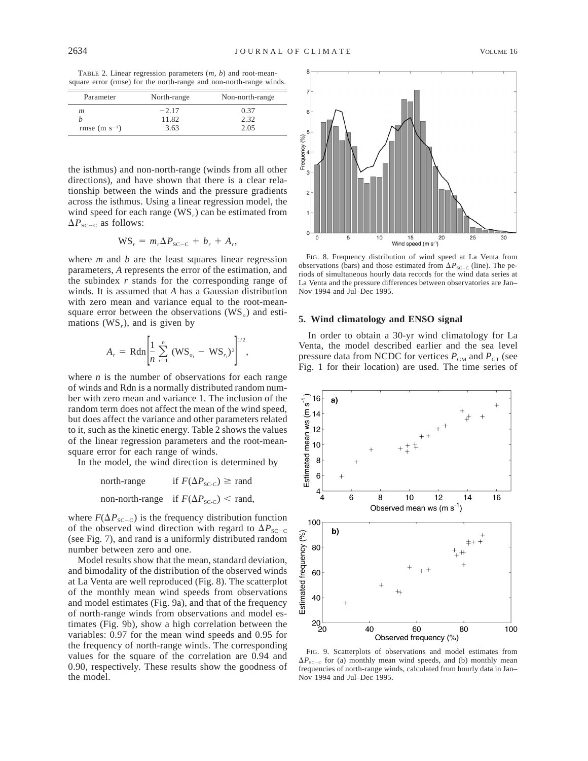TABLE 2. Linear regression parameters (*m, b*) and root-meansquare error (rmse) for the north-range and non-north-range winds.

| Parameter          | North-range | Non-north-range |  |  |
|--------------------|-------------|-----------------|--|--|
| m                  | $-2.17$     | 0.37            |  |  |
|                    | 11.82       | 2.32            |  |  |
| rmse (m $s^{-1}$ ) | 3.63        | 2.05            |  |  |

the isthmus) and non-north-range (winds from all other directions), and have shown that there is a clear relationship between the winds and the pressure gradients across the isthmus. Using a linear regression model, the wind speed for each range (WS<sub>r</sub>) can be estimated from  $\Delta P_{\text{SC-C}}$  as follows:

$$
WS_r = m_r \Delta P_{SC-C} + b_r + A_r,
$$

where *m* and *b* are the least squares linear regression parameters, *A* represents the error of the estimation, and the subindex *r* stands for the corresponding range of winds. It is assumed that *A* has a Gaussian distribution with zero mean and variance equal to the root-meansquare error between the observations (WS<sub>o</sub>) and estimations (WS*r*), and is given by

$$
A_r = \text{Rdn} \left[ \frac{1}{n} \sum_{i=1}^n (WS_{o_i} - WS_{r_i})^2 \right]^{1/2},
$$

where *n* is the number of observations for each range of winds and Rdn is a normally distributed random number with zero mean and variance 1. The inclusion of the random term does not affect the mean of the wind speed, but does affect the variance and other parameters related to it, such as the kinetic energy. Table 2 shows the values of the linear regression parameters and the root-meansquare error for each range of winds.

In the model, the wind direction is determined by

north-range if  $F(\Delta P_{SC-C}) \ge$  rand non-north-range if  $F(\Delta P_{\text{SC-C}})$  < rand,

where  $F(\Delta P_{SC-C})$  is the frequency distribution function of the observed wind direction with regard to  $\Delta P_{\text{SC-C}}$ (see Fig. 7), and rand is a uniformly distributed random number between zero and one.

Model results show that the mean, standard deviation, and bimodality of the distribution of the observed winds at La Venta are well reproduced (Fig. 8). The scatterplot of the monthly mean wind speeds from observations and model estimates (Fig. 9a), and that of the frequency of north-range winds from observations and model estimates (Fig. 9b), show a high correlation between the variables: 0.97 for the mean wind speeds and 0.95 for the frequency of north-range winds. The corresponding values for the square of the correlation are 0.94 and 0.90, respectively. These results show the goodness of the model.



FIG. 8. Frequency distribution of wind speed at La Venta from observations (bars) and those estimated from  $\Delta P_{\text{SC-C}}$  (line). The periods of simultaneous hourly data records for the wind data series at La Venta and the pressure differences between observatories are Jan– Nov 1994 and Jul–Dec 1995.

### **5. Wind climatology and ENSO signal**

In order to obtain a 30-yr wind climatology for La Venta, the model described earlier and the sea level pressure data from NCDC for vertices  $P_{GM}$  and  $P_{GT}$  (see Fig. 1 for their location) are used. The time series of



FIG. 9. Scatterplots of observations and model estimates from  $\Delta P_{SC-C}$  for (a) monthly mean wind speeds, and (b) monthly mean frequencies of north-range winds, calculated from hourly data in Jan– Nov 1994 and Jul–Dec 1995.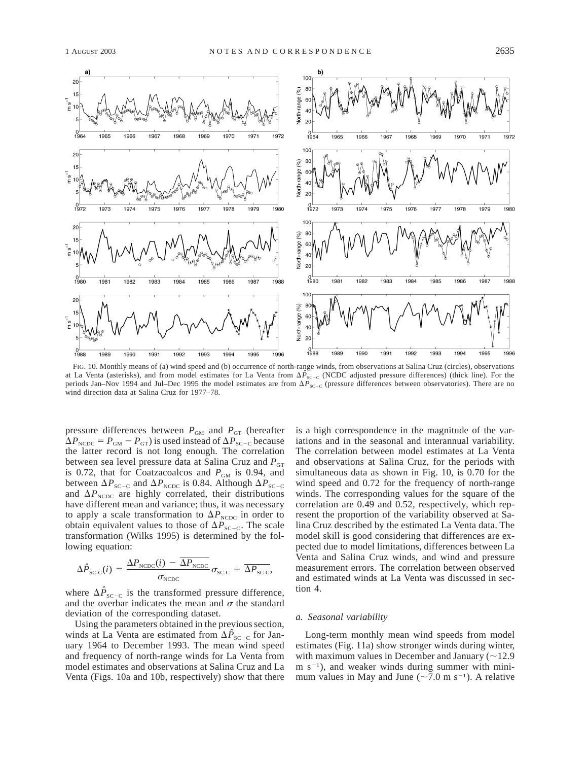

FIG. 10. Monthly means of (a) wind speed and (b) occurrence of north-range winds, from observations at Salina Cruz (circles), observations at La Venta (asterisks), and from model estimates for La Venta from  $\Delta \hat{P}_{SC-C}$  (NCDC adjusted pressure differences) (thick line). For the periods Jan–Nov 1994 and Jul–Dec 1995 the model estimates are from  $\Delta P_{\text{SC-C}}$  (pressure differences between observatories). There are no wind direction data at Salina Cruz for 1977–78.

pressure differences between  $P_{GM}$  and  $P_{GT}$  (hereafter  $\Delta P_{\text{NCDC}} = P_{\text{GM}} - P_{\text{GT}}$  is used instead of  $\Delta P_{\text{SC-C}}$  because the latter record is not long enough. The correlation between sea level pressure data at Salina Cruz and  $P_{GT}$ is 0.72, that for Coatzacoalcos and  $P_{GM}$  is 0.94, and between  $\Delta P_{\text{SC-C}}$  and  $\Delta P_{\text{NCDC}}$  is 0.84. Although  $\Delta P_{\text{SC-C}}$ and  $\Delta P_{\text{NCDC}}$  are highly correlated, their distributions have different mean and variance; thus, it was necessary to apply a scale transformation to  $\Delta P_{NCDC}$  in order to obtain equivalent values to those of  $\Delta P_{\text{SC-C}}$ . The scale transformation (Wilks 1995) is determined by the following equation:

$$
\Delta \hat{P}_{SC-C}(i) = \frac{\Delta P_{NCDC}(i) - \Delta P_{NCDC}}{\sigma_{NCDC}} \sigma_{SC-C} + \overline{\Delta P_{SC-C}},
$$

where  $\Delta P_{\text{SC}-\text{C}}$  is the transformed pressure difference, and the overbar indicates the mean and  $\sigma$  the standard deviation of the corresponding dataset.

Using the parameters obtained in the previous section, winds at La Venta are estimated from  $\Delta \hat{P}_{\text{SC-C}}$  for January 1964 to December 1993. The mean wind speed and frequency of north-range winds for La Venta from model estimates and observations at Salina Cruz and La Venta (Figs. 10a and 10b, respectively) show that there is a high correspondence in the magnitude of the variations and in the seasonal and interannual variability. The correlation between model estimates at La Venta and observations at Salina Cruz, for the periods with simultaneous data as shown in Fig. 10, is 0.70 for the wind speed and 0.72 for the frequency of north-range winds. The corresponding values for the square of the correlation are 0.49 and 0.52, respectively, which represent the proportion of the variability observed at Salina Cruz described by the estimated La Venta data. The model skill is good considering that differences are expected due to model limitations, differences between La Venta and Salina Cruz winds, and wind and pressure measurement errors. The correlation between observed and estimated winds at La Venta was discussed in section 4.

#### *a. Seasonal variability*

Long-term monthly mean wind speeds from model estimates (Fig. 11a) show stronger winds during winter, with maximum values in December and January  $(\sim 12.9$  $m s^{-1}$ ), and weaker winds during summer with minimum values in May and June ( $\sim$ 7.0 m s<sup>-1</sup>). A relative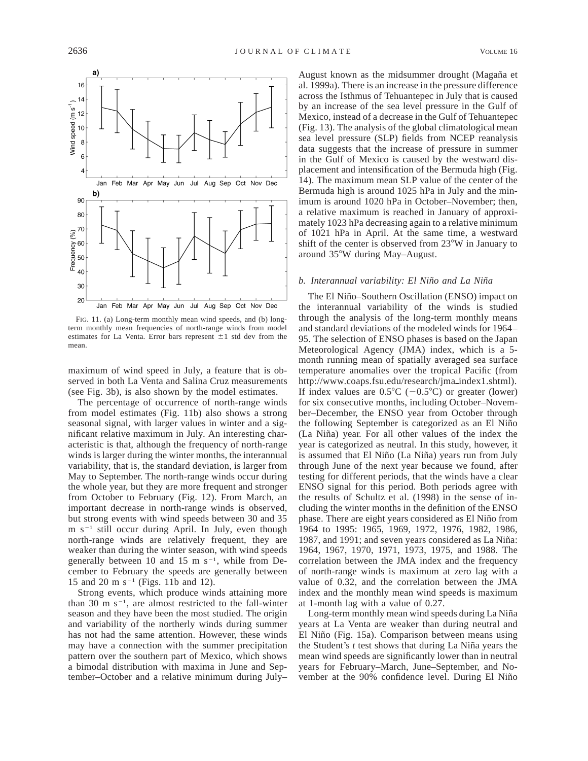

FIG. 11. (a) Long-term monthly mean wind speeds, and (b) longterm monthly mean frequencies of north-range winds from model estimates for La Venta. Error bars represent  $\pm 1$  std dev from the mean.

maximum of wind speed in July, a feature that is observed in both La Venta and Salina Cruz measurements (see Fig. 3b), is also shown by the model estimates.

The percentage of occurrence of north-range winds from model estimates (Fig. 11b) also shows a strong seasonal signal, with larger values in winter and a significant relative maximum in July. An interesting characteristic is that, although the frequency of north-range winds is larger during the winter months, the interannual variability, that is, the standard deviation, is larger from May to September. The north-range winds occur during the whole year, but they are more frequent and stronger from October to February (Fig. 12). From March, an important decrease in north-range winds is observed, but strong events with wind speeds between 30 and 35 m  $s^{-1}$  still occur during April. In July, even though north-range winds are relatively frequent, they are weaker than during the winter season, with wind speeds generally between 10 and 15 m  $s^{-1}$ , while from December to February the speeds are generally between 15 and 20 m s<sup>-1</sup> (Figs. 11b and 12).

Strong events, which produce winds attaining more than 30 m  $s^{-1}$ , are almost restricted to the fall-winter season and they have been the most studied. The origin and variability of the northerly winds during summer has not had the same attention. However, these winds may have a connection with the summer precipitation pattern over the southern part of Mexico, which shows a bimodal distribution with maxima in June and September–October and a relative minimum during July–

August known as the midsummer drought (Magaña et al. 1999a). There is an increase in the pressure difference across the Isthmus of Tehuantepec in July that is caused by an increase of the sea level pressure in the Gulf of Mexico, instead of a decrease in the Gulf of Tehuantepec (Fig. 13). The analysis of the global climatological mean sea level pressure (SLP) fields from NCEP reanalysis data suggests that the increase of pressure in summer in the Gulf of Mexico is caused by the westward displacement and intensification of the Bermuda high (Fig. 14). The maximum mean SLP value of the center of the Bermuda high is around 1025 hPa in July and the minimum is around 1020 hPa in October–November; then, a relative maximum is reached in January of approximately 1023 hPa decreasing again to a relative minimum of 1021 hPa in April. At the same time, a westward shift of the center is observed from  $23^{\circ}$ W in January to around 35°W during May–August.

### *b. Interannual variability: El Nin˜o and La Nin˜a*

The El Niño–Southern Oscillation (ENSO) impact on the interannual variability of the winds is studied through the analysis of the long-term monthly means and standard deviations of the modeled winds for 1964– 95. The selection of ENSO phases is based on the Japan Meteorological Agency (JMA) index, which is a 5 month running mean of spatially averaged sea surface temperature anomalies over the tropical Pacific (from http://www.coaps.fsu.edu/research/jma\_index1.shtml). If index values are  $0.5^{\circ}C$  (-0.5°C) or greater (lower) for six consecutive months, including October–November–December, the ENSO year from October through the following September is categorized as an El Niño (La Niña) year. For all other values of the index the year is categorized as neutral. In this study, however, it is assumed that El Niño (La Niña) years run from July through June of the next year because we found, after testing for different periods, that the winds have a clear ENSO signal for this period. Both periods agree with the results of Schultz et al. (1998) in the sense of including the winter months in the definition of the ENSO phase. There are eight years considered as El Niño from 1964 to 1995: 1965, 1969, 1972, 1976, 1982, 1986, 1987, and 1991; and seven years considered as La Niña: 1964, 1967, 1970, 1971, 1973, 1975, and 1988. The correlation between the JMA index and the frequency of north-range winds is maximum at zero lag with a value of 0.32, and the correlation between the JMA index and the monthly mean wind speeds is maximum at 1-month lag with a value of 0.27.

Long-term monthly mean wind speeds during La Niña years at La Venta are weaker than during neutral and El Niño (Fig. 15a). Comparison between means using the Student's *t* test shows that during La Niña years the mean wind speeds are significantly lower than in neutral years for February–March, June–September, and November at the 90% confidence level. During El Niño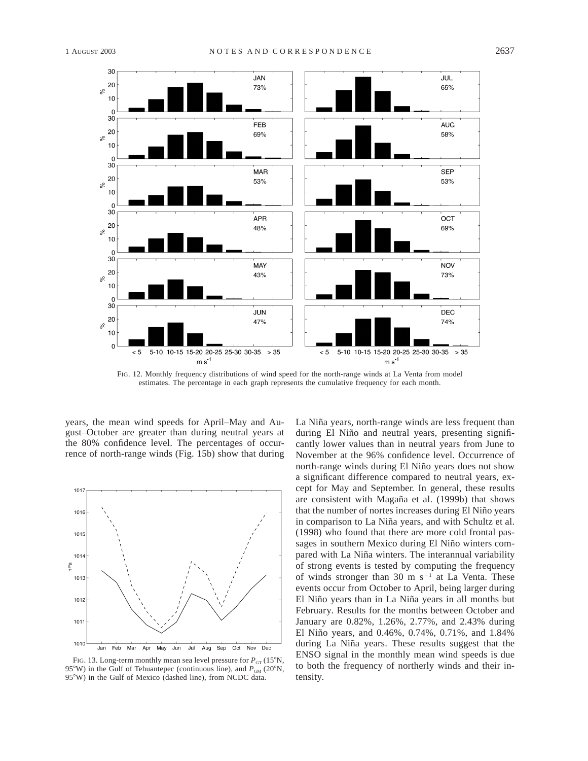

FIG. 12. Monthly frequency distributions of wind speed for the north-range winds at La Venta from model estimates. The percentage in each graph represents the cumulative frequency for each month.

years, the mean wind speeds for April–May and August–October are greater than during neutral years at the 80% confidence level. The percentages of occurrence of north-range winds (Fig. 15b) show that during



FIG. 13. Long-term monthly mean sea level pressure for  $P_{GT}$  (15°N, 95°W) in the Gulf of Tehuantepec (continuous line), and  $P_{GM}$  (20°N, 95°W) in the Gulf of Mexico (dashed line), from NCDC data.

La Niña years, north-range winds are less frequent than during El Niño and neutral years, presenting significantly lower values than in neutral years from June to November at the 96% confidence level. Occurrence of north-range winds during El Niño years does not show a significant difference compared to neutral years, except for May and September. In general, these results are consistent with Magaña et al. (1999b) that shows that the number of nortes increases during El Niño years in comparison to La Niña years, and with Schultz et al. (1998) who found that there are more cold frontal passages in southern Mexico during El Niño winters compared with La Niña winters. The interannual variability of strong events is tested by computing the frequency of winds stronger than 30 m  $s^{-1}$  at La Venta. These events occur from October to April, being larger during El Niño years than in La Niña years in all months but February. Results for the months between October and January are 0.82%, 1.26%, 2.77%, and 2.43% during El Niño years, and 0.46%, 0.74%, 0.71%, and 1.84% during La Niña years. These results suggest that the ENSO signal in the monthly mean wind speeds is due to both the frequency of northerly winds and their intensity.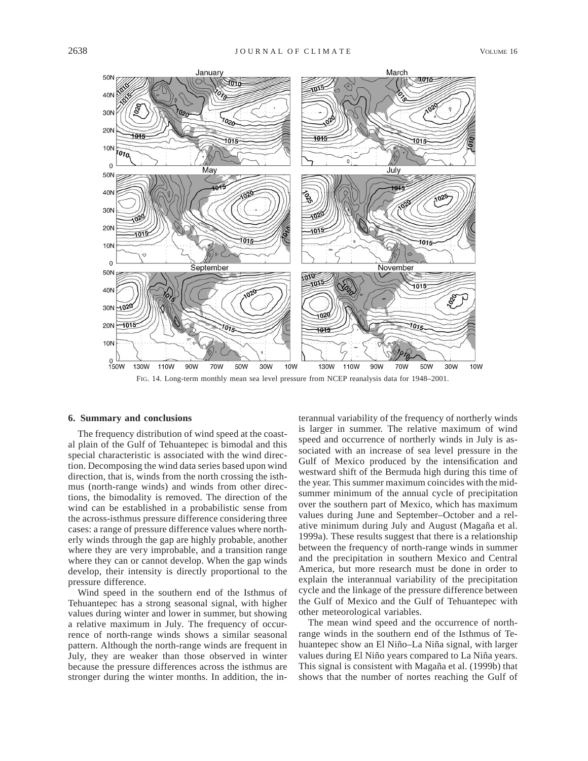

### **6. Summary and conclusions**

The frequency distribution of wind speed at the coastal plain of the Gulf of Tehuantepec is bimodal and this special characteristic is associated with the wind direction. Decomposing the wind data series based upon wind direction, that is, winds from the north crossing the isthmus (north-range winds) and winds from other directions, the bimodality is removed. The direction of the wind can be established in a probabilistic sense from the across-isthmus pressure difference considering three cases: a range of pressure difference values where northerly winds through the gap are highly probable, another where they are very improbable, and a transition range where they can or cannot develop. When the gap winds develop, their intensity is directly proportional to the pressure difference.

Wind speed in the southern end of the Isthmus of Tehuantepec has a strong seasonal signal, with higher values during winter and lower in summer, but showing a relative maximum in July. The frequency of occurrence of north-range winds shows a similar seasonal pattern. Although the north-range winds are frequent in July, they are weaker than those observed in winter because the pressure differences across the isthmus are stronger during the winter months. In addition, the in-

terannual variability of the frequency of northerly winds is larger in summer. The relative maximum of wind speed and occurrence of northerly winds in July is associated with an increase of sea level pressure in the Gulf of Mexico produced by the intensification and westward shift of the Bermuda high during this time of the year. This summer maximum coincides with the midsummer minimum of the annual cycle of precipitation over the southern part of Mexico, which has maximum values during June and September–October and a relative minimum during July and August (Magaña et al. 1999a). These results suggest that there is a relationship between the frequency of north-range winds in summer and the precipitation in southern Mexico and Central America, but more research must be done in order to explain the interannual variability of the precipitation cycle and the linkage of the pressure difference between the Gulf of Mexico and the Gulf of Tehuantepec with other meteorological variables.

The mean wind speed and the occurrence of northrange winds in the southern end of the Isthmus of Tehuantepec show an El Niño–La Niña signal, with larger values during El Niño years compared to La Niña years. This signal is consistent with Magaña et al. (1999b) that shows that the number of nortes reaching the Gulf of